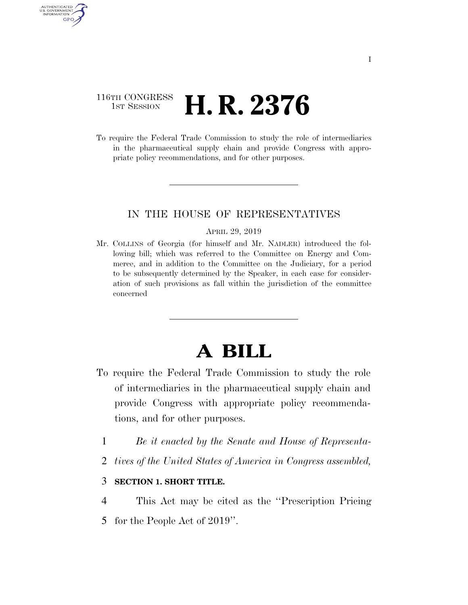## 116TH CONGRESS **1ST SESSION H. R. 2376**

AUTHENTICATED U.S. GOVERNMENT GPO

> To require the Federal Trade Commission to study the role of intermediaries in the pharmaceutical supply chain and provide Congress with appropriate policy recommendations, and for other purposes.

### IN THE HOUSE OF REPRESENTATIVES

#### APRIL 29, 2019

Mr. COLLINS of Georgia (for himself and Mr. NADLER) introduced the following bill; which was referred to the Committee on Energy and Commerce, and in addition to the Committee on the Judiciary, for a period to be subsequently determined by the Speaker, in each case for consideration of such provisions as fall within the jurisdiction of the committee concerned

# **A BILL**

- To require the Federal Trade Commission to study the role of intermediaries in the pharmaceutical supply chain and provide Congress with appropriate policy recommendations, and for other purposes.
	- 1 *Be it enacted by the Senate and House of Representa-*
	- 2 *tives of the United States of America in Congress assembled,*

### 3 **SECTION 1. SHORT TITLE.**

4 This Act may be cited as the ''Prescription Pricing

5 for the People Act of 2019''.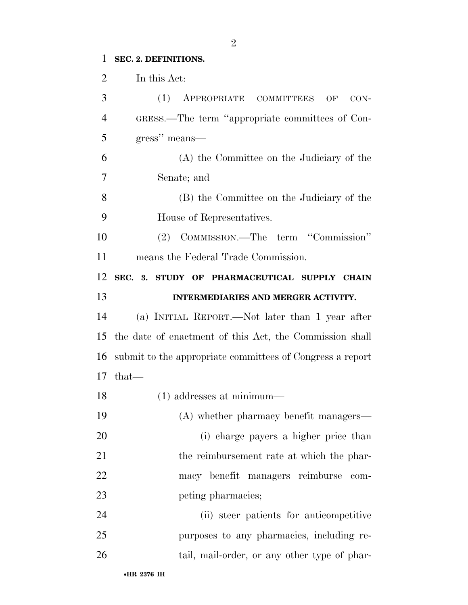## **SEC. 2. DEFINITIONS.**

| $\overline{2}$ | In this Act:                                              |
|----------------|-----------------------------------------------------------|
| 3              | (1)<br>APPROPRIATE COMMITTEES<br>OF<br>CON-               |
| $\overline{4}$ | GRESS.—The term "appropriate committees of Con-           |
| 5              | gress" means-                                             |
| 6              | (A) the Committee on the Judiciary of the                 |
| 7              | Senate; and                                               |
| 8              | (B) the Committee on the Judiciary of the                 |
| 9              | House of Representatives.                                 |
| 10             | (2) COMMISSION.—The term "Commission"                     |
| 11             | means the Federal Trade Commission.                       |
| 12             | SEC. 3. STUDY OF PHARMACEUTICAL SUPPLY CHAIN              |
| 13             | INTERMEDIARIES AND MERGER ACTIVITY.                       |
| 14             | (a) INITIAL REPORT.—Not later than 1 year after           |
| 15             | the date of enactment of this Act, the Commission shall   |
| 16             | submit to the appropriate committees of Congress a report |
| 17             | $that-$                                                   |
| 18             | $(1)$ addresses at minimum—                               |
| 19             | (A) whether pharmacy benefit managers—                    |
| 20             | (i) charge payers a higher price than                     |
| 21             | the reimbursement rate at which the phar-                 |
| 22             | macy benefit managers reimburse<br>com-                   |
| 23             | peting pharmacies;                                        |
| 24             | (ii) steer patients for anticompetitive                   |
| 25             | purposes to any pharmacies, including re-                 |
| 26             | tail, mail-order, or any other type of phar-              |
|                |                                                           |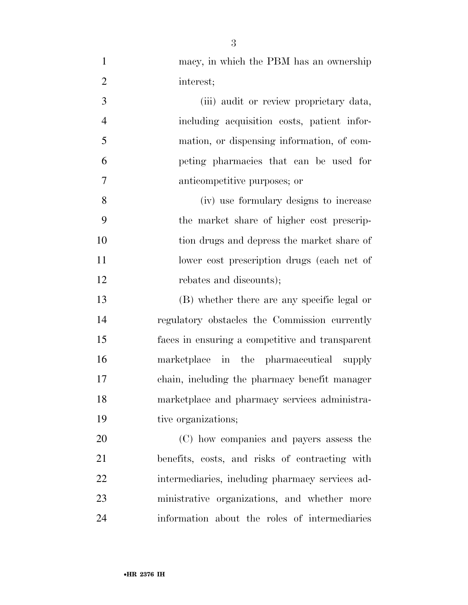| $\mathbf{1}$   | macy, in which the PBM has an ownership         |
|----------------|-------------------------------------------------|
| $\overline{2}$ | interest;                                       |
| 3              | (iii) audit or review proprietary data,         |
| $\overline{4}$ | including acquisition costs, patient infor-     |
| 5              | mation, or dispensing information, of com-      |
| 6              | peting pharmacies that can be used for          |
| $\tau$         | anticompetitive purposes; or                    |
| 8              | (iv) use formulary designs to increase          |
| 9              | the market share of higher cost prescrip-       |
| 10             | tion drugs and depress the market share of      |
| 11             | lower cost prescription drugs (each net of      |
| 12             | rebates and discounts);                         |
| 13             | (B) whether there are any specific legal or     |
| 14             | regulatory obstacles the Commission currently   |
| 15             | faces in ensuring a competitive and transparent |
| 16             | marketplace in the pharmaceutical supply        |
| 17             | chain, including the pharmacy benefit manager   |
| 18             | marketplace and pharmacy services administra-   |
| 19             | tive organizations;                             |
| 20             | (C) how companies and payers assess the         |
| 21             | benefits, costs, and risks of contracting with  |
| 22             | intermediaries, including pharmacy services ad- |
| 23             | ministrative organizations, and whether more    |
| 24             | information about the roles of intermediaries   |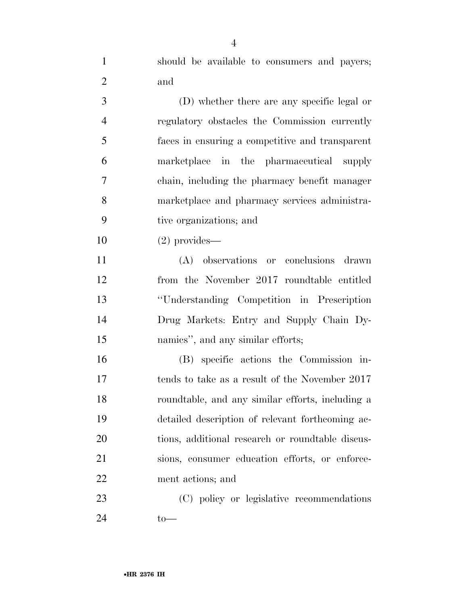| $\mathbf{1}$   | should be available to consumers and payers;     |
|----------------|--------------------------------------------------|
| $\overline{2}$ | and                                              |
| 3              | (D) whether there are any specific legal or      |
| $\overline{4}$ | regulatory obstacles the Commission currently    |
| 5              | faces in ensuring a competitive and transparent  |
| 6              | marketplace in the pharmaceutical supply         |
| $\overline{7}$ | chain, including the pharmacy benefit manager    |
| 8              | marketplace and pharmacy services administra-    |
| 9              | tive organizations; and                          |
| 10             | $(2)$ provides—                                  |
| 11             | (A) observations or conclusions drawn            |
| 12             | from the November 2017 roundtable entitled       |
| 13             | "Understanding Competition in Prescription       |
| 14             | Drug Markets: Entry and Supply Chain Dy-         |
| 15             | namics", and any similar efforts;                |
| 16             | (B) specific actions the Commission in-          |
| 17             | tends to take as a result of the November 2017   |
| 18             | roundtable, and any similar efforts, including a |
| 19             | detailed description of relevant forthcoming ac- |
| 20             | tions, additional research or roundtable discus- |
| 21             | sions, consumer education efforts, or enforce-   |
| 22             | ment actions; and                                |
| 23             | (C) policy or legislative recommendations        |

to—

•**HR 2376 IH**